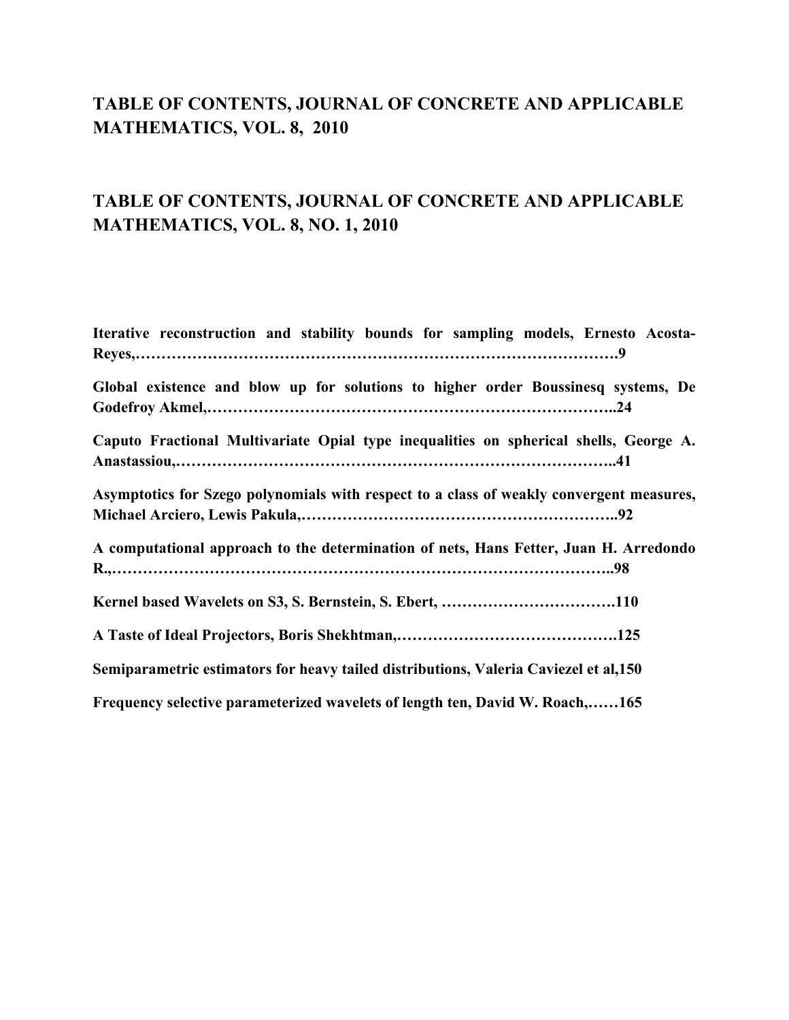#### **TABLE OF CONTENTS, JOURNAL OF CONCRETE AND APPLICABLE MATHEMATICS, VOL. 8, 2010**

#### **TABLE OF CONTENTS, JOURNAL OF CONCRETE AND APPLICABLE MATHEMATICS, VOL. 8, NO. 1, 2010**

| Iterative reconstruction and stability bounds for sampling models, Ernesto Acosta-       |
|------------------------------------------------------------------------------------------|
|                                                                                          |
| Global existence and blow up for solutions to higher order Boussinesq systems, De        |
| Caputo Fractional Multivariate Opial type inequalities on spherical shells, George A.    |
| Asymptotics for Szego polynomials with respect to a class of weakly convergent measures, |
| A computational approach to the determination of nets, Hans Fetter, Juan H. Arredondo    |
|                                                                                          |
|                                                                                          |
| Semiparametric estimators for heavy tailed distributions, Valeria Caviezel et al,150     |
| Frequency selective parameterized wavelets of length ten, David W. Roach,165             |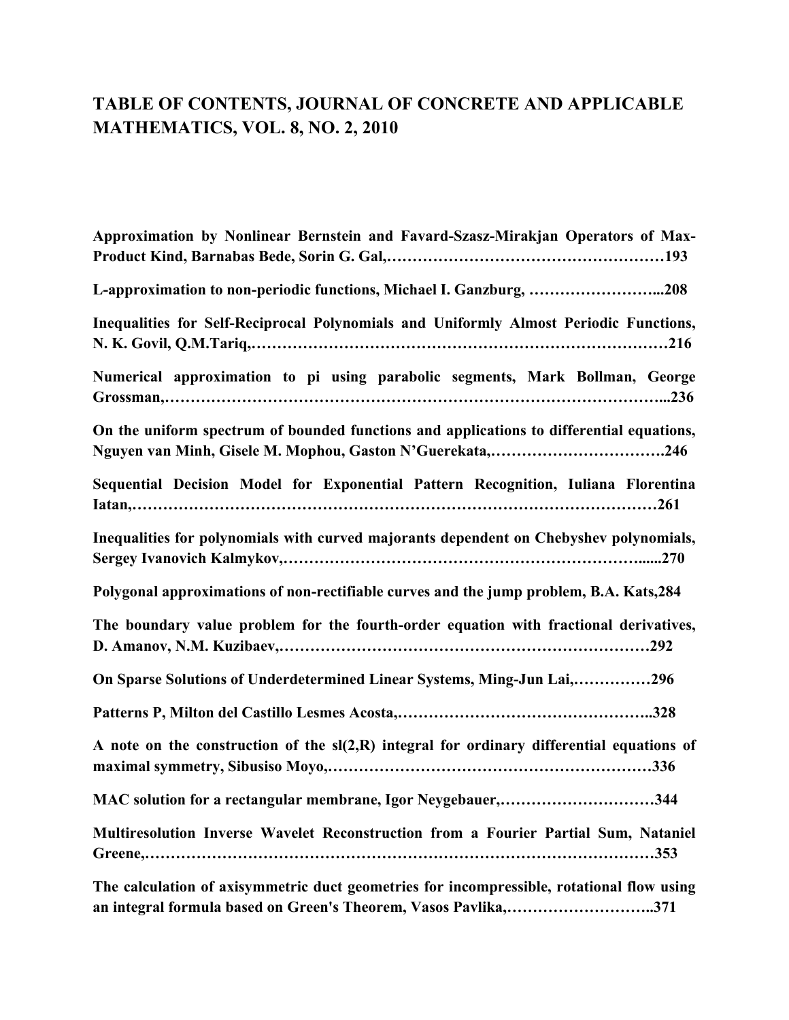## **TABLE OF CONTENTS, JOURNAL OF CONCRETE AND APPLICABLE MATHEMATICS, VOL. 8, NO. 2, 2010**

| Approximation by Nonlinear Bernstein and Favard-Szasz-Mirakjan Operators of Max-                                                                      |
|-------------------------------------------------------------------------------------------------------------------------------------------------------|
| L-approximation to non-periodic functions, Michael I. Ganzburg, 208                                                                                   |
| Inequalities for Self-Reciprocal Polynomials and Uniformly Almost Periodic Functions,                                                                 |
| Numerical approximation to pi using parabolic segments, Mark Bollman, George                                                                          |
| On the uniform spectrum of bounded functions and applications to differential equations,<br>Nguyen van Minh, Gisele M. Mophou, Gaston N'Guerekata,246 |
| Sequential Decision Model for Exponential Pattern Recognition, Iuliana Florentina                                                                     |
| Inequalities for polynomials with curved majorants dependent on Chebyshev polynomials,                                                                |
| Polygonal approximations of non-rectifiable curves and the jump problem, B.A. Kats,284                                                                |
| The boundary value problem for the fourth-order equation with fractional derivatives,                                                                 |
| On Sparse Solutions of Underdetermined Linear Systems, Ming-Jun Lai,296                                                                               |
|                                                                                                                                                       |
| A note on the construction of the sl(2,R) integral for ordinary differential equations of                                                             |
| MAC solution for a rectangular membrane, Igor Neygebauer,344                                                                                          |
| Multiresolution Inverse Wavelet Reconstruction from a Fourier Partial Sum, Nataniel                                                                   |
| The calculation of axisymmetric duct geometries for incompressible, rotational flow using                                                             |

**an integral formula based on Green's Theorem, Vasos Pavlika,………………………..371**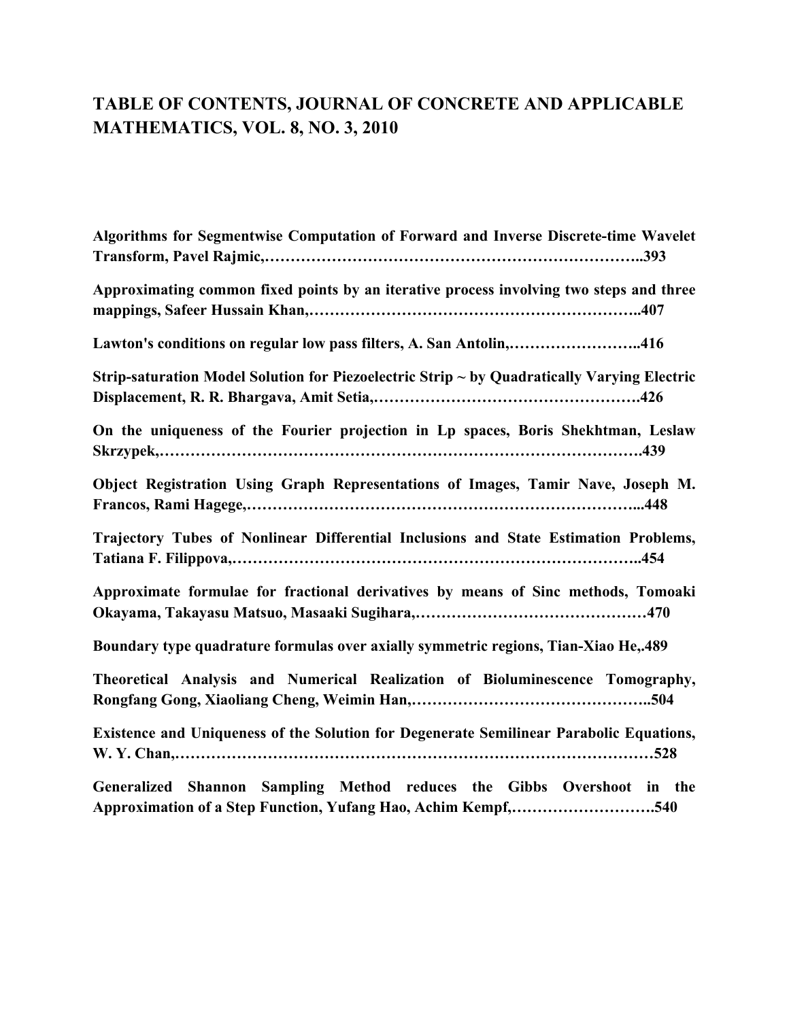# **TABLE OF CONTENTS, JOURNAL OF CONCRETE AND APPLICABLE MATHEMATICS, VOL. 8, NO. 3, 2010**

| Algorithms for Segmentwise Computation of Forward and Inverse Discrete-time Wavelet                                                     |
|-----------------------------------------------------------------------------------------------------------------------------------------|
| Approximating common fixed points by an iterative process involving two steps and three                                                 |
| Lawton's conditions on regular low pass filters, A. San Antolin,416                                                                     |
| Strip-saturation Model Solution for Piezoelectric Strip ~ by Quadratically Varying Electric                                             |
| On the uniqueness of the Fourier projection in Lp spaces, Boris Shekhtman, Leslaw                                                       |
| Object Registration Using Graph Representations of Images, Tamir Nave, Joseph M.                                                        |
| Trajectory Tubes of Nonlinear Differential Inclusions and State Estimation Problems,                                                    |
| Approximate formulae for fractional derivatives by means of Sinc methods, Tomoaki                                                       |
| Boundary type quadrature formulas over axially symmetric regions, Tian-Xiao He, 489                                                     |
| Theoretical Analysis and Numerical Realization of Bioluminescence Tomography,                                                           |
| Existence and Uniqueness of the Solution for Degenerate Semilinear Parabolic Equations,                                                 |
| Generalized Shannon Sampling Method reduces the Gibbs Overshoot in the<br>Approximation of a Step Function, Yufang Hao, Achim Kempf,540 |